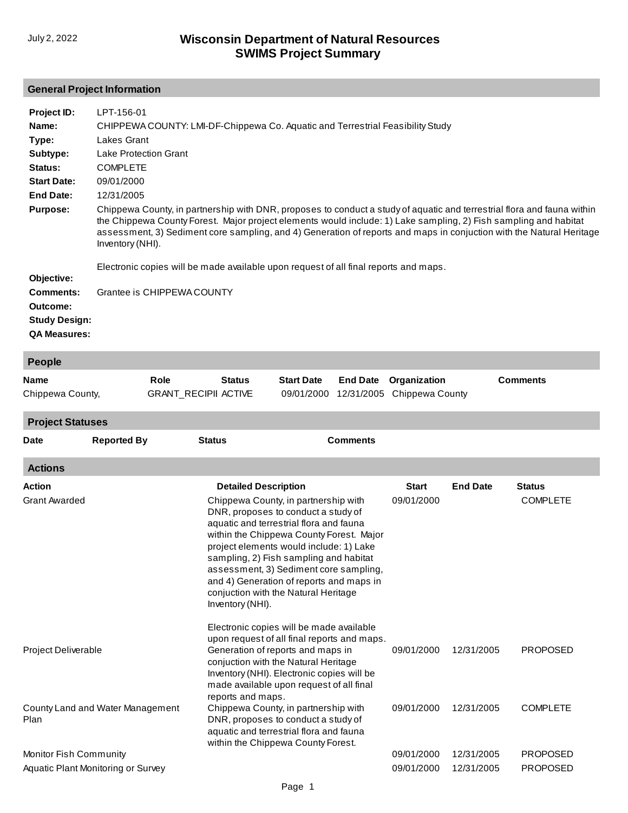#### **General Project Information**

| Project ID:          | LPT-156-01                                                                                                                                                                                                                                                                                                                                                                              |
|----------------------|-----------------------------------------------------------------------------------------------------------------------------------------------------------------------------------------------------------------------------------------------------------------------------------------------------------------------------------------------------------------------------------------|
| Name:                | CHIPPEWA COUNTY: LMI-DF-Chippewa Co. Aquatic and Terrestrial Feasibility Study                                                                                                                                                                                                                                                                                                          |
| Type:                | Lakes Grant                                                                                                                                                                                                                                                                                                                                                                             |
| Subtype:             | Lake Protection Grant                                                                                                                                                                                                                                                                                                                                                                   |
| Status:              | <b>COMPLETE</b>                                                                                                                                                                                                                                                                                                                                                                         |
| <b>Start Date:</b>   | 09/01/2000                                                                                                                                                                                                                                                                                                                                                                              |
| End Date:            | 12/31/2005                                                                                                                                                                                                                                                                                                                                                                              |
| <b>Purpose:</b>      | Chippewa County, in partnership with DNR, proposes to conduct a study of aquatic and terrestrial flora and fauna within<br>the Chippewa County Forest. Major project elements would include: 1) Lake sampling, 2) Fish sampling and habitat<br>assessment, 3) Sediment core sampling, and 4) Generation of reports and maps in conjuction with the Natural Heritage<br>Inventory (NHI). |
|                      | Electronic copies will be made available upon request of all final reports and maps.                                                                                                                                                                                                                                                                                                    |
| Objective:           |                                                                                                                                                                                                                                                                                                                                                                                         |
| <b>Comments:</b>     | Grantee is CHIPPEWA COUNTY                                                                                                                                                                                                                                                                                                                                                              |
| Outcome:             |                                                                                                                                                                                                                                                                                                                                                                                         |
| <b>Study Design:</b> |                                                                                                                                                                                                                                                                                                                                                                                         |
| <b>QA Measures:</b>  |                                                                                                                                                                                                                                                                                                                                                                                         |

| <b>People</b>                         |                    |                                     |                                                 |                                                                                                                                                                                                                                                                                                                                                                                       |                               |                                 |                 |                                  |  |
|---------------------------------------|--------------------|-------------------------------------|-------------------------------------------------|---------------------------------------------------------------------------------------------------------------------------------------------------------------------------------------------------------------------------------------------------------------------------------------------------------------------------------------------------------------------------------------|-------------------------------|---------------------------------|-----------------|----------------------------------|--|
| <b>Name</b><br>Chippewa County,       |                    | Role<br><b>GRANT_RECIPII ACTIVE</b> | <b>Status</b>                                   | <b>Start Date</b><br>09/01/2000                                                                                                                                                                                                                                                                                                                                                       | <b>End Date</b><br>12/31/2005 | Organization<br>Chippewa County |                 | <b>Comments</b>                  |  |
| <b>Project Statuses</b>               |                    |                                     |                                                 |                                                                                                                                                                                                                                                                                                                                                                                       |                               |                                 |                 |                                  |  |
| <b>Date</b>                           | <b>Reported By</b> | <b>Status</b>                       |                                                 |                                                                                                                                                                                                                                                                                                                                                                                       | <b>Comments</b>               |                                 |                 |                                  |  |
| <b>Actions</b>                        |                    |                                     |                                                 |                                                                                                                                                                                                                                                                                                                                                                                       |                               |                                 |                 |                                  |  |
| <b>Action</b><br><b>Grant Awarded</b> |                    |                                     | <b>Detailed Description</b><br>Inventory (NHI). | Chippewa County, in partnership with<br>DNR, proposes to conduct a study of<br>aquatic and terrestrial flora and fauna<br>within the Chippewa County Forest. Major<br>project elements would include: 1) Lake<br>sampling, 2) Fish sampling and habitat<br>assessment, 3) Sediment core sampling,<br>and 4) Generation of reports and maps in<br>conjuction with the Natural Heritage |                               | <b>Start</b><br>09/01/2000      | <b>End Date</b> | <b>Status</b><br><b>COMPLETE</b> |  |
| Project Deliverable                   |                    |                                     |                                                 | Electronic copies will be made available<br>upon request of all final reports and maps.<br>Generation of reports and maps in<br>conjuction with the Natural Heritage                                                                                                                                                                                                                  |                               | 09/01/2000                      | 12/31/2005      | <b>PROPOSED</b>                  |  |

County Land and Water Management Plan [Monitor Fish Community](http://prodoasint.dnr.wi.gov/swims/viewAction.do?id=103278552) [Aquatic Plant Monitoring or Survey](http://prodoasint.dnr.wi.gov/swims/viewAction.do?id=103278546) [Inventory \(NHI\). Electronic copies will be](http://prodoasint.dnr.wi.gov/swims/viewAction.do?id=103278554)  made available upon request of all final reports and maps. [Chippewa County, in partnership with](http://prodoasint.dnr.wi.gov/swims/viewAction.do?id=158154285)  DNR, proposes to conduct a study of aquatic and terrestrial flora and fauna within the Chippewa County Forest. 09/01/2000 09/01/2000 09/01/2000 12/31/2005 12/31/2005 12/31/2005 COMPLETE PROPOSED PROPOSED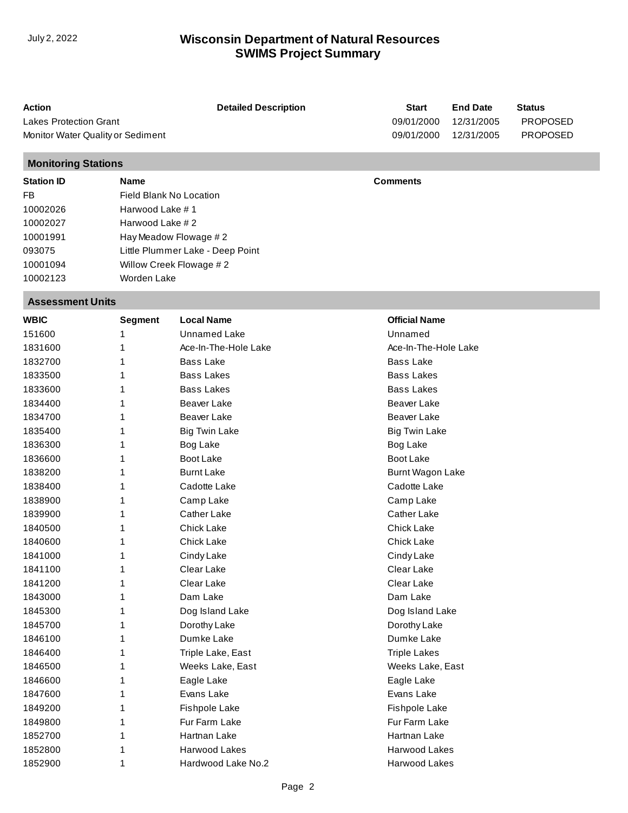| <b>Action</b>                     | <b>Detailed Description</b> | <b>Start</b> | <b>End Date</b> | <b>Status</b>   |
|-----------------------------------|-----------------------------|--------------|-----------------|-----------------|
| <b>Lakes Protection Grant</b>     |                             | 09/01/2000   | 12/31/2005      | <b>PROPOSED</b> |
| Monitor Water Quality or Sediment |                             | 09/01/2000   | 12/31/2005      | <b>PROPOSED</b> |
| <b>Monitoring Stations</b>        |                             |              |                 |                 |
|                                   |                             |              |                 |                 |

| <b>Station ID</b> | <b>Name</b>                      | <b>Comments</b> |
|-------------------|----------------------------------|-----------------|
| FB                | Field Blank No Location          |                 |
| 10002026          | Harwood Lake #1                  |                 |
| 10002027          | Harwood Lake #2                  |                 |
| 10001991          | Hay Meadow Flowage #2            |                 |
| 093075            | Little Plummer Lake - Deep Point |                 |
| 10001094          | Willow Creek Flowage #2          |                 |
| 10002123          | Worden Lake                      |                 |

#### **Assessment Units**

| <b>WBIC</b> | <b>Segment</b> | <b>Local Name</b>    | <b>Official Name</b>    |
|-------------|----------------|----------------------|-------------------------|
| 151600      |                | <b>Unnamed Lake</b>  | Unnamed                 |
| 1831600     | 1              | Ace-In-The-Hole Lake | Ace-In-The-Hole Lake    |
| 1832700     | 1              | <b>Bass Lake</b>     | <b>Bass Lake</b>        |
| 1833500     | 1              | <b>Bass Lakes</b>    | <b>Bass Lakes</b>       |
| 1833600     | 1              | <b>Bass Lakes</b>    | <b>Bass Lakes</b>       |
| 1834400     | 1              | <b>Beaver Lake</b>   | <b>Beaver Lake</b>      |
| 1834700     | 1              | <b>Beaver Lake</b>   | <b>Beaver Lake</b>      |
| 1835400     | 1              | <b>Big Twin Lake</b> | <b>Big Twin Lake</b>    |
| 1836300     | 1              | Bog Lake             | Bog Lake                |
| 1836600     | 1              | <b>Boot Lake</b>     | Boot Lake               |
| 1838200     | 1              | <b>Burnt Lake</b>    | <b>Burnt Wagon Lake</b> |
| 1838400     | 1              | Cadotte Lake         | Cadotte Lake            |
| 1838900     | 1              | Camp Lake            | Camp Lake               |
| 1839900     | 1              | <b>Cather Lake</b>   | Cather Lake             |
| 1840500     | 1              | <b>Chick Lake</b>    | <b>Chick Lake</b>       |
| 1840600     | 1              | <b>Chick Lake</b>    | Chick Lake              |
| 1841000     | 1              | Cindy Lake           | Cindy Lake              |
| 1841100     | 1              | Clear Lake           | Clear Lake              |
| 1841200     | 1              | Clear Lake           | Clear Lake              |
| 1843000     | 1              | Dam Lake             | Dam Lake                |
| 1845300     | 1              | Dog Island Lake      | Dog Island Lake         |
| 1845700     | 1              | Dorothy Lake         | Dorothy Lake            |
| 1846100     | 1              | Dumke Lake           | Dumke Lake              |
| 1846400     | 1              | Triple Lake, East    | <b>Triple Lakes</b>     |
| 1846500     | 1              | Weeks Lake, East     | Weeks Lake, East        |
| 1846600     | 1              | Eagle Lake           | Eagle Lake              |
| 1847600     | 1              | Evans Lake           | Evans Lake              |
| 1849200     | 1              | Fishpole Lake        | Fishpole Lake           |
| 1849800     | 1              | Fur Farm Lake        | Fur Farm Lake           |
| 1852700     | 1              | Hartnan Lake         | Hartnan Lake            |
| 1852800     | 1              | Harwood Lakes        | Harwood Lakes           |
| 1852900     | 1              | Hardwood Lake No.2   | Harwood Lakes           |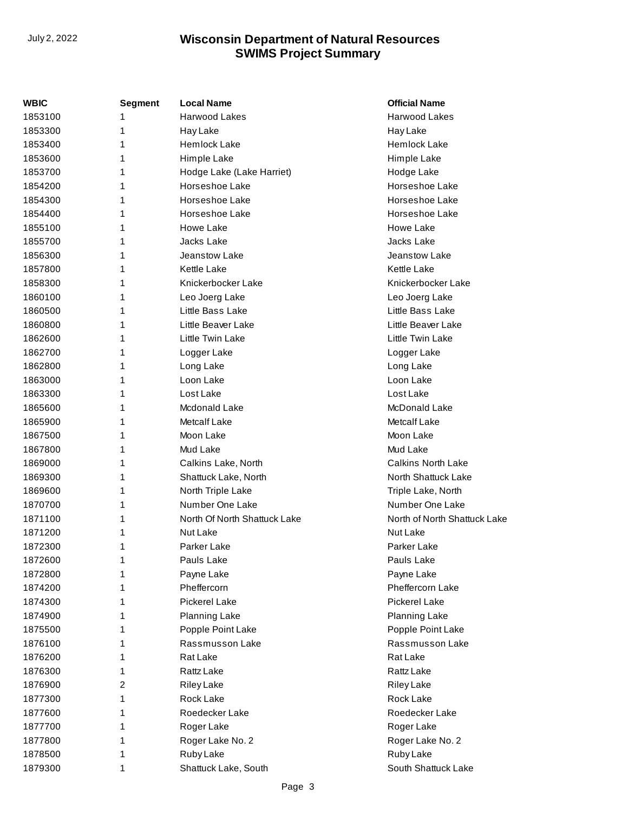| WBIC    | Segment | <b>Local Name</b>            | <b>Official Name</b>         |
|---------|---------|------------------------------|------------------------------|
| 1853100 | 1       | Harwood Lakes                | Harwood Lakes                |
| 1853300 | 1       | <b>Hay Lake</b>              | Hay Lake                     |
| 1853400 | 1       | <b>Hemlock Lake</b>          | Hemlock Lake                 |
| 1853600 | 1       | Himple Lake                  | Himple Lake                  |
| 1853700 | 1       | Hodge Lake (Lake Harriet)    | Hodge Lake                   |
| 1854200 | 1       | Horseshoe Lake               | Horseshoe Lake               |
| 1854300 | 1       | Horseshoe Lake               | Horseshoe Lake               |
| 1854400 | 1       | Horseshoe Lake               | Horseshoe Lake               |
| 1855100 | 1       | Howe Lake                    | Howe Lake                    |
| 1855700 | 1       | Jacks Lake                   | Jacks Lake                   |
| 1856300 | 1       | Jeanstow Lake                | Jeanstow Lake                |
| 1857800 | 1       | <b>Kettle Lake</b>           | <b>Kettle Lake</b>           |
| 1858300 | 1       | Knickerbocker Lake           | Knickerbocker Lake           |
| 1860100 | 1       | Leo Joerg Lake               | Leo Joerg Lake               |
| 1860500 | 1       | Little Bass Lake             | Little Bass Lake             |
| 1860800 | 1       | Little Beaver Lake           | Little Beaver Lake           |
| 1862600 | 1       | Little Twin Lake             | Little Twin Lake             |
| 1862700 | 1       | Logger Lake                  | Logger Lake                  |
| 1862800 | 1       | Long Lake                    | Long Lake                    |
| 1863000 | 1       | Loon Lake                    | Loon Lake                    |
| 1863300 | 1       | Lost Lake                    | Lost Lake                    |
| 1865600 | 1       | Mcdonald Lake                | McDonald Lake                |
| 1865900 | 1       | <b>Metcalf Lake</b>          | <b>Metcalf Lake</b>          |
| 1867500 | 1       | Moon Lake                    | Moon Lake                    |
| 1867800 | 1       | Mud Lake                     | Mud Lake                     |
| 1869000 | 1       | Calkins Lake, North          | <b>Calkins North Lake</b>    |
| 1869300 | 1       | Shattuck Lake, North         | North Shattuck Lake          |
| 1869600 | 1       | North Triple Lake            | Triple Lake, North           |
| 1870700 | 1       | Number One Lake              | Number One Lake              |
| 1871100 | 1       | North Of North Shattuck Lake | North of North Shattuck Lake |
| 1871200 | 1       | Nut Lake                     | Nut Lake                     |
| 1872300 | 1       | Parker Lake                  | Parker Lake                  |
| 1872600 | 1       | Pauls Lake                   | Pauls Lake                   |
| 1872800 | 1       | Payne Lake                   | Payne Lake                   |
| 1874200 | 1       | Pheffercorn                  | Pheffercorn Lake             |
| 1874300 | 1       | Pickerel Lake                | Pickerel Lake                |
| 1874900 | 1       | <b>Planning Lake</b>         | <b>Planning Lake</b>         |
| 1875500 | 1       | Popple Point Lake            | Popple Point Lake            |
| 1876100 | 1       | Rassmusson Lake              | Rassmusson Lake              |
| 1876200 | 1       | Rat Lake                     | Rat Lake                     |
| 1876300 | 1       | Rattz Lake                   | Rattz Lake                   |
| 1876900 | 2       | <b>Riley Lake</b>            | <b>Riley Lake</b>            |
| 1877300 | 1       | Rock Lake                    | Rock Lake                    |
| 1877600 | 1       | Roedecker Lake               | Roedecker Lake               |
| 1877700 | 1       | Roger Lake                   | Roger Lake                   |
| 1877800 | 1       | Roger Lake No. 2             | Roger Lake No. 2             |
| 1878500 | 1       | Ruby Lake                    | Ruby Lake                    |
| 1879300 | 1       | Shattuck Lake, South         | South Shattuck Lake          |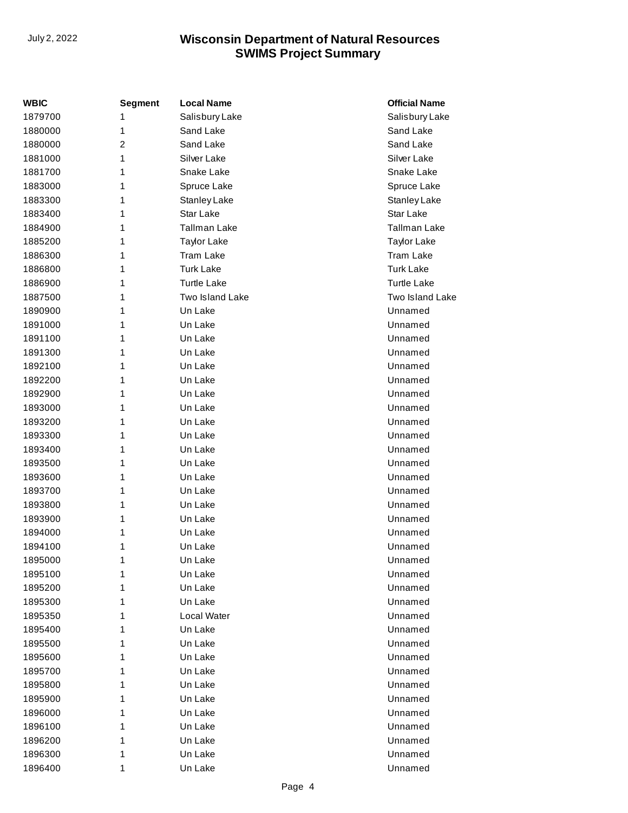| <b>WBIC</b> | <b>Segment</b> | <b>Local Name</b>   | <b>Official Name</b> |
|-------------|----------------|---------------------|----------------------|
| 1879700     | 1              | Salisbury Lake      | Salisbury Lake       |
| 1880000     | 1              | Sand Lake           | Sand Lake            |
| 1880000     | 2              | Sand Lake           | Sand Lake            |
| 1881000     | 1              | Silver Lake         | Silver Lake          |
| 1881700     | 1              | Snake Lake          | Snake Lake           |
| 1883000     | 1              | Spruce Lake         | Spruce Lake          |
| 1883300     | 1              | <b>Stanley Lake</b> | Stanley Lake         |
| 1883400     | 1              | Star Lake           | Star Lake            |
| 1884900     | 1              | Tallman Lake        | Tallman Lake         |
| 1885200     | 1              | <b>Taylor Lake</b>  | <b>Taylor Lake</b>   |
| 1886300     | 1              | <b>Tram Lake</b>    | <b>Tram Lake</b>     |
| 1886800     | 1              | <b>Turk Lake</b>    | <b>Turk Lake</b>     |
| 1886900     | 1              | <b>Turtle Lake</b>  | <b>Turtle Lake</b>   |
| 1887500     | 1              | Two Island Lake     | Two Island Lake      |
| 1890900     | 1              | Un Lake             | Unnamed              |
| 1891000     | 1              | Un Lake             | Unnamed              |
| 1891100     | 1              | Un Lake             | Unnamed              |
| 1891300     | 1              | Un Lake             | Unnamed              |
| 1892100     | 1              | Un Lake             | Unnamed              |
| 1892200     | 1              | Un Lake             | Unnamed              |
| 1892900     | 1              | Un Lake             | Unnamed              |
| 1893000     | 1              | Un Lake             | Unnamed              |
| 1893200     | 1              | Un Lake             | Unnamed              |
| 1893300     | 1              | Un Lake             | Unnamed              |
| 1893400     | 1              | Un Lake             | Unnamed              |
| 1893500     | 1              | Un Lake             | Unnamed              |
| 1893600     | 1              | Un Lake             | Unnamed              |
| 1893700     | 1              | Un Lake             | Unnamed              |
| 1893800     | 1              | Un Lake             | Unnamed              |
| 1893900     | 1              | Un Lake             | Unnamed              |
| 1894000     | 1              | Un Lake             | Unnamed              |
| 1894100     | 1              | Un Lake             | Unnamed              |
| 1895000     | 1              | Un Lake             | Unnamed              |
| 1895100     | 1              | Un Lake             | Unnamed              |
| 1895200     | 1              | Un Lake             | Unnamed              |
| 1895300     | 1              | Un Lake             | Unnamed              |
| 1895350     | 1              | Local Water         | Unnamed              |
| 1895400     | 1              | Un Lake             | Unnamed              |
| 1895500     | 1              | Un Lake             | Unnamed              |
| 1895600     | 1              | Un Lake             | Unnamed              |
| 1895700     | 1              | Un Lake             | Unnamed              |
| 1895800     | 1              | Un Lake             | Unnamed              |
| 1895900     | 1              | Un Lake             | Unnamed              |
| 1896000     | 1              | Un Lake             | Unnamed              |
| 1896100     | 1              | Un Lake             | Unnamed              |
| 1896200     | 1              | Un Lake             | Unnamed              |
| 1896300     | 1              | Un Lake             | Unnamed              |
| 1896400     | 1              | Un Lake             | Unnamed              |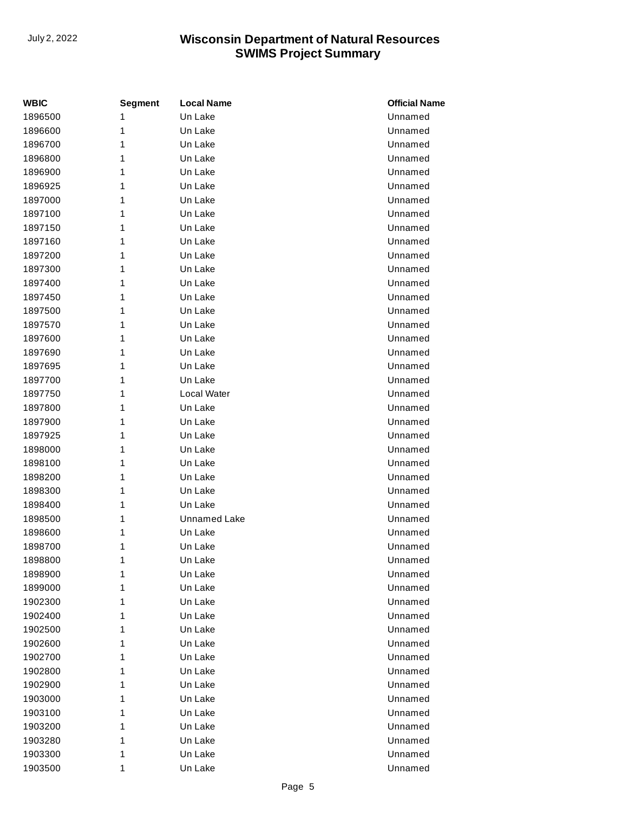| WBIC    | <b>Segment</b> | <b>Local Name</b>   | <b>Official Name</b> |
|---------|----------------|---------------------|----------------------|
| 1896500 | 1              | Un Lake             | Unnamed              |
| 1896600 | 1              | Un Lake             | Unnamed              |
| 1896700 | 1              | Un Lake             | Unnamed              |
| 1896800 | 1              | Un Lake             | Unnamed              |
| 1896900 | 1              | Un Lake             | Unnamed              |
| 1896925 | 1              | Un Lake             | Unnamed              |
| 1897000 | 1              | Un Lake             | Unnamed              |
| 1897100 | 1              | Un Lake             | Unnamed              |
| 1897150 | 1              | Un Lake             | Unnamed              |
| 1897160 | 1              | Un Lake             | Unnamed              |
| 1897200 | 1              | Un Lake             | Unnamed              |
| 1897300 | 1              | Un Lake             | Unnamed              |
| 1897400 | 1              | Un Lake             | Unnamed              |
| 1897450 | 1              | Un Lake             | Unnamed              |
| 1897500 | 1              | Un Lake             | Unnamed              |
| 1897570 | 1              | Un Lake             | Unnamed              |
| 1897600 | 1              | Un Lake             | Unnamed              |
| 1897690 | 1              | Un Lake             | Unnamed              |
| 1897695 | 1              | Un Lake             | Unnamed              |
| 1897700 | 1              | Un Lake             | Unnamed              |
| 1897750 | 1              | Local Water         | Unnamed              |
| 1897800 | 1              | Un Lake             | Unnamed              |
| 1897900 | 1              | Un Lake             | Unnamed              |
| 1897925 | 1              | Un Lake             | Unnamed              |
| 1898000 | 1              | Un Lake             | Unnamed              |
| 1898100 | 1              | Un Lake             | Unnamed              |
| 1898200 | 1              | Un Lake             | Unnamed              |
| 1898300 | 1              | Un Lake             | Unnamed              |
| 1898400 | 1              | Un Lake             | Unnamed              |
| 1898500 | 1              | <b>Unnamed Lake</b> | Unnamed              |
| 1898600 | 1              | Un Lake             | Unnamed              |
| 1898700 | 1              | Un Lake             | Unnamed              |
| 1898800 | 1              | Un Lake             | Unnamed              |
| 1898900 | 1              | Un Lake             | Unnamed              |
| 1899000 | 1              | Un Lake             | Unnamed              |
| 1902300 | 1              | Un Lake             | Unnamed              |
| 1902400 | 1              | Un Lake             | Unnamed              |
| 1902500 | 1              | Un Lake             | Unnamed              |
| 1902600 | 1              | Un Lake             | Unnamed              |
| 1902700 | 1              | Un Lake             | Unnamed              |
| 1902800 | 1              | Un Lake             | Unnamed              |
| 1902900 | 1              | Un Lake             | Unnamed              |
| 1903000 | 1              | Un Lake             | Unnamed              |
| 1903100 | 1              | Un Lake             | Unnamed              |
| 1903200 | 1              | Un Lake             | Unnamed              |
| 1903280 | 1              | Un Lake             | Unnamed              |
| 1903300 | 1              | Un Lake             | Unnamed              |
| 1903500 | 1              | Un Lake             | Unnamed              |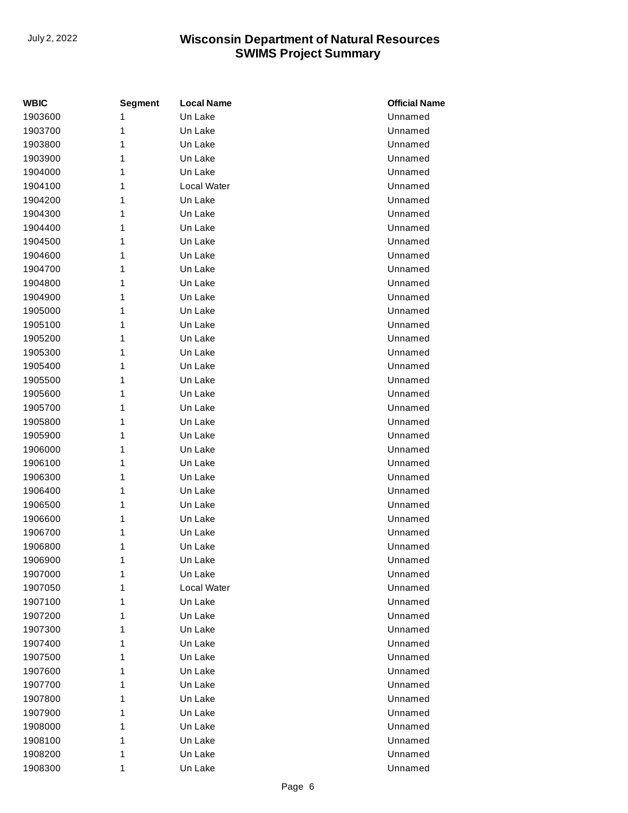| WBIC    | <b>Segment</b> | <b>Local Name</b> | <b>Official Name</b> |
|---------|----------------|-------------------|----------------------|
| 1903600 | 1              | Un Lake           | Unnamed              |
| 1903700 | 1              | Un Lake           | Unnamed              |
| 1903800 | 1              | Un Lake           | Unnamed              |
| 1903900 | 1              | Un Lake           | Unnamed              |
| 1904000 | 1              | Un Lake           | Unnamed              |
| 1904100 | 1              | Local Water       | Unnamed              |
| 1904200 | 1              | Un Lake           | Unnamed              |
| 1904300 | 1              | Un Lake           | Unnamed              |
| 1904400 | 1              | Un Lake           | Unnamed              |
| 1904500 | 1              | Un Lake           | Unnamed              |
| 1904600 | 1              | Un Lake           | Unnamed              |
| 1904700 | 1              | Un Lake           | Unnamed              |
| 1904800 | 1              | Un Lake           | Unnamed              |
| 1904900 | 1              | Un Lake           | Unnamed              |
| 1905000 | 1              | Un Lake           | Unnamed              |
| 1905100 | 1              | Un Lake           | Unnamed              |
| 1905200 | 1              | Un Lake           | Unnamed              |
| 1905300 | 1              | Un Lake           | Unnamed              |
| 1905400 | 1              | Un Lake           | Unnamed              |
| 1905500 | 1              | Un Lake           | Unnamed              |
| 1905600 | 1              | Un Lake           | Unnamed              |
| 1905700 | 1              | Un Lake           | Unnamed              |
| 1905800 | 1              | Un Lake           | Unnamed              |
| 1905900 | 1              | Un Lake           | Unnamed              |
| 1906000 | 1              | Un Lake           | Unnamed              |
| 1906100 | 1              | Un Lake           | Unnamed              |
| 1906300 | 1              | Un Lake           | Unnamed              |
| 1906400 | 1              | Un Lake           | Unnamed              |
| 1906500 | 1              | Un Lake           | Unnamed              |
| 1906600 | 1              | Un Lake           | Unnamed              |
| 1906700 | 1              | Un Lake           | Unnamed              |
| 1906800 | 1              | Un Lake           | Unnamed              |
| 1906900 | 1              | Un Lake           | Unnamed              |
| 1907000 | 1              | Un Lake           | Unnamed              |
| 1907050 | 1              | Local Water       | Unnamed              |
| 1907100 | 1              | Un Lake           | Unnamed              |
| 1907200 | 1              | Un Lake           | Unnamed              |
| 1907300 | 1              | Un Lake           | Unnamed              |
| 1907400 | 1              | Un Lake           | Unnamed              |
| 1907500 | 1              | Un Lake           | Unnamed              |
| 1907600 | 1              | Un Lake           | Unnamed              |
| 1907700 | 1              | Un Lake           | Unnamed              |
| 1907800 | 1              | Un Lake           | Unnamed              |
| 1907900 | 1              | Un Lake           | Unnamed              |
| 1908000 | 1              | Un Lake           | Unnamed              |
| 1908100 | 1              | Un Lake           | Unnamed              |
| 1908200 | 1              | Un Lake           | Unnamed              |
| 1908300 | 1              | Un Lake           | Unnamed              |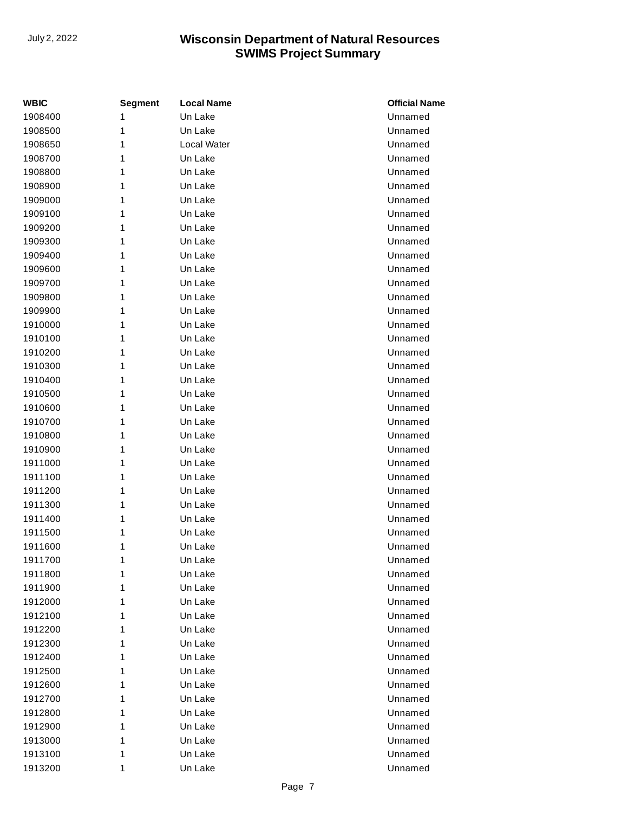| WBIC    | <b>Segment</b> | <b>Local Name</b> | <b>Official Name</b> |
|---------|----------------|-------------------|----------------------|
| 1908400 | 1              | Un Lake           | Unnamed              |
| 1908500 | 1              | Un Lake           | Unnamed              |
| 1908650 | 1              | Local Water       | Unnamed              |
| 1908700 | 1              | Un Lake           | Unnamed              |
| 1908800 | 1              | Un Lake           | Unnamed              |
| 1908900 | 1              | Un Lake           | Unnamed              |
| 1909000 | 1              | Un Lake           | Unnamed              |
| 1909100 | 1              | Un Lake           | Unnamed              |
| 1909200 | 1              | Un Lake           | Unnamed              |
| 1909300 | 1              | Un Lake           | Unnamed              |
| 1909400 | 1              | Un Lake           | Unnamed              |
| 1909600 | 1              | Un Lake           | Unnamed              |
| 1909700 | 1              | Un Lake           | Unnamed              |
| 1909800 | 1              | Un Lake           | Unnamed              |
| 1909900 | 1              | Un Lake           | Unnamed              |
| 1910000 | 1              | Un Lake           | Unnamed              |
| 1910100 | 1              | Un Lake           | Unnamed              |
| 1910200 | 1              | Un Lake           | Unnamed              |
| 1910300 | 1              | Un Lake           | Unnamed              |
| 1910400 | 1              | Un Lake           | Unnamed              |
| 1910500 | 1              | Un Lake           | Unnamed              |
| 1910600 | 1              | Un Lake           | Unnamed              |
| 1910700 | 1              | Un Lake           | Unnamed              |
| 1910800 | 1              | Un Lake           | Unnamed              |
| 1910900 | 1              | Un Lake           | Unnamed              |
| 1911000 | 1              | Un Lake           | Unnamed              |
| 1911100 | 1              | Un Lake           | Unnamed              |
| 1911200 | 1              | Un Lake           | Unnamed              |
| 1911300 | 1              | Un Lake           | Unnamed              |
| 1911400 | 1              | Un Lake           | Unnamed              |
| 1911500 | 1              | Un Lake           | Unnamed              |
| 1911600 | 1              | Un Lake           | Unnamed              |
| 1911700 | 1              | Un Lake           | Unnamed              |
| 1911800 | 1              | Un Lake           | Unnamed              |
| 1911900 | 1              | Un Lake           | Unnamed              |
| 1912000 | 1              | Un Lake           | Unnamed              |
| 1912100 | 1              | Un Lake           | Unnamed              |
| 1912200 | 1              | Un Lake           | Unnamed              |
| 1912300 | 1              | Un Lake           | Unnamed              |
| 1912400 | 1              | Un Lake           | Unnamed              |
| 1912500 | 1              | Un Lake           | Unnamed              |
| 1912600 | 1              | Un Lake           | Unnamed              |
| 1912700 | 1              | Un Lake           | Unnamed              |
| 1912800 | 1              | Un Lake           | Unnamed              |
| 1912900 | 1              | Un Lake           | Unnamed              |
| 1913000 | 1              | Un Lake           | Unnamed              |
| 1913100 | 1              | Un Lake           | Unnamed              |
| 1913200 | 1              | Un Lake           | Unnamed              |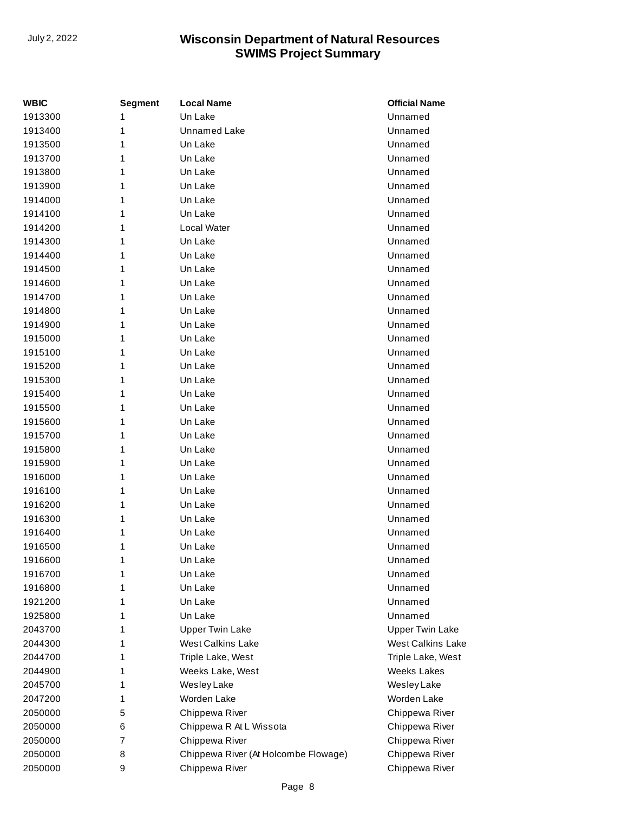| WBIC    | <b>Segment</b> | <b>Local Name</b>                    | <b>Official Name</b>     |
|---------|----------------|--------------------------------------|--------------------------|
| 1913300 | 1              | Un Lake                              | Unnamed                  |
| 1913400 | 1              | <b>Unnamed Lake</b>                  | Unnamed                  |
| 1913500 | 1              | Un Lake                              | Unnamed                  |
| 1913700 | 1              | Un Lake                              | Unnamed                  |
| 1913800 | 1              | Un Lake                              | Unnamed                  |
| 1913900 | 1              | Un Lake                              | Unnamed                  |
| 1914000 | 1              | Un Lake                              | Unnamed                  |
| 1914100 | 1              | Un Lake                              | Unnamed                  |
| 1914200 | 1              | Local Water                          | Unnamed                  |
| 1914300 | 1              | Un Lake                              | Unnamed                  |
| 1914400 | 1              | Un Lake                              | Unnamed                  |
| 1914500 | 1              | Un Lake                              | Unnamed                  |
| 1914600 | 1              | Un Lake                              | Unnamed                  |
| 1914700 | 1              | Un Lake                              | Unnamed                  |
| 1914800 | 1              | Un Lake                              | Unnamed                  |
| 1914900 | 1              | Un Lake                              | Unnamed                  |
| 1915000 | 1              | Un Lake                              | Unnamed                  |
| 1915100 | 1              | Un Lake                              | Unnamed                  |
| 1915200 | 1              | Un Lake                              | Unnamed                  |
| 1915300 | 1              | Un Lake                              | Unnamed                  |
| 1915400 | 1              | Un Lake                              | Unnamed                  |
| 1915500 | 1              | Un Lake                              | Unnamed                  |
| 1915600 | 1              | Un Lake                              | Unnamed                  |
| 1915700 | 1              | Un Lake                              | Unnamed                  |
| 1915800 | 1              | Un Lake                              | Unnamed                  |
| 1915900 | 1              | Un Lake                              | Unnamed                  |
| 1916000 | 1              | Un Lake                              | Unnamed                  |
| 1916100 | 1              | Un Lake                              | Unnamed                  |
| 1916200 | 1              | Un Lake                              | Unnamed                  |
| 1916300 | 1              | Un Lake                              | Unnamed                  |
| 1916400 | 1              | Un Lake                              | Unnamed                  |
| 1916500 | 1              | Un Lake                              | Unnamed                  |
| 1916600 | 1              | Un Lake                              | Unnamed                  |
| 1916700 | 1              | Un Lake                              | Unnamed                  |
| 1916800 | 1              | Un Lake                              | Unnamed                  |
| 1921200 | 1              | Un Lake                              | Unnamed                  |
| 1925800 | 1              | Un Lake                              | Unnamed                  |
| 2043700 | 1              | <b>Upper Twin Lake</b>               | <b>Upper Twin Lake</b>   |
| 2044300 | 1              | <b>West Calkins Lake</b>             | <b>West Calkins Lake</b> |
| 2044700 | 1              | Triple Lake, West                    | Triple Lake, West        |
| 2044900 | 1              | Weeks Lake, West                     | <b>Weeks Lakes</b>       |
| 2045700 | 1              | Wesley Lake                          | Wesley Lake              |
| 2047200 | 1              | Worden Lake                          | Worden Lake              |
| 2050000 | 5              | Chippewa River                       | Chippewa River           |
| 2050000 | 6              | Chippewa R At L Wissota              | Chippewa River           |
| 2050000 | 7              | Chippewa River                       | Chippewa River           |
| 2050000 | 8              | Chippewa River (At Holcombe Flowage) | Chippewa River           |
| 2050000 | 9              | Chippewa River                       | Chippewa River           |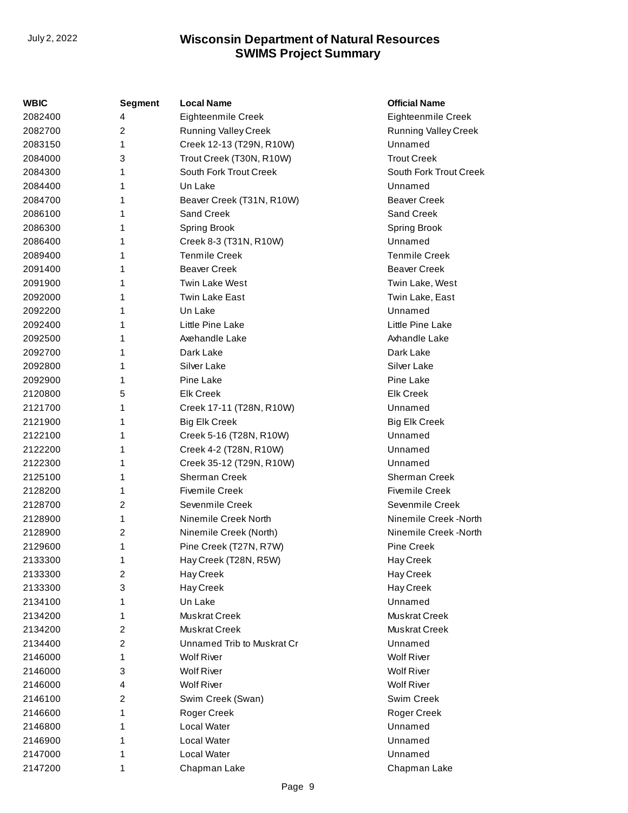| WBIC    | <b>Segment</b> | <b>Local Name</b>           | <b>Official Name</b>        |
|---------|----------------|-----------------------------|-----------------------------|
| 2082400 | 4              | Eighteenmile Creek          | Eighteenmile Creek          |
| 2082700 | $\overline{c}$ | <b>Running Valley Creek</b> | <b>Running Valley Creek</b> |
| 2083150 | 1              | Creek 12-13 (T29N, R10W)    | Unnamed                     |
| 2084000 | 3              | Trout Creek (T30N, R10W)    | <b>Trout Creek</b>          |
| 2084300 | 1              | South Fork Trout Creek      | South Fork Trout Creek      |
| 2084400 | 1              | Un Lake                     | Unnamed                     |
| 2084700 | 1              | Beaver Creek (T31N, R10W)   | <b>Beaver Creek</b>         |
| 2086100 | 1              | Sand Creek                  | Sand Creek                  |
| 2086300 | 1              | <b>Spring Brook</b>         | <b>Spring Brook</b>         |
| 2086400 | 1              | Creek 8-3 (T31N, R10W)      | Unnamed                     |
| 2089400 | 1              | <b>Tenmile Creek</b>        | <b>Tenmile Creek</b>        |
| 2091400 | 1              | <b>Beaver Creek</b>         | <b>Beaver Creek</b>         |
| 2091900 | 1              | <b>Twin Lake West</b>       | Twin Lake, West             |
| 2092000 | 1              | Twin Lake East              | Twin Lake, East             |
| 2092200 | 1              | Un Lake                     | Unnamed                     |
| 2092400 | 1              | Little Pine Lake            | Little Pine Lake            |
| 2092500 | 1              | Axehandle Lake              | Axhandle Lake               |
| 2092700 | 1              | Dark Lake                   | Dark Lake                   |
| 2092800 | 1              | Silver Lake                 | Silver Lake                 |
| 2092900 | 1              | Pine Lake                   | Pine Lake                   |
| 2120800 | 5              | <b>Elk Creek</b>            | <b>Elk Creek</b>            |
| 2121700 | 1              | Creek 17-11 (T28N, R10W)    | Unnamed                     |
| 2121900 | 1              | <b>Big Elk Creek</b>        | <b>Big Elk Creek</b>        |
| 2122100 | 1              | Creek 5-16 (T28N, R10W)     | Unnamed                     |
| 2122200 | 1              | Creek 4-2 (T28N, R10W)      | Unnamed                     |
| 2122300 | 1              | Creek 35-12 (T29N, R10W)    | Unnamed                     |
| 2125100 | 1              | <b>Sherman Creek</b>        | Sherman Creek               |
| 2128200 | 1              | <b>Fivemile Creek</b>       | <b>Fivemile Creek</b>       |
| 2128700 | 2              | Sevenmile Creek             | Sevenmile Creek             |
| 2128900 | 1              | Ninemile Creek North        | Ninemile Creek -North       |
| 2128900 | 2              | Ninemile Creek (North)      | Ninemile Creek -North       |
| 2129600 | 1              | Pine Creek (T27N, R7W)      | <b>Pine Creek</b>           |
| 2133300 | 1              | Hay Creek (T28N, R5W)       | Hay Creek                   |
| 2133300 | $\overline{c}$ | Hay Creek                   | Hay Creek                   |
| 2133300 | 3              | Hay Creek                   | Hay Creek                   |
| 2134100 | 1              | Un Lake                     | Unnamed                     |
| 2134200 | 1              | Muskrat Creek               | Muskrat Creek               |
| 2134200 | $\overline{c}$ | Muskrat Creek               | Muskrat Creek               |
| 2134400 | $\overline{c}$ | Unnamed Trib to Muskrat Cr  | Unnamed                     |
| 2146000 | 1              | <b>Wolf River</b>           | <b>Wolf River</b>           |
| 2146000 | 3              | <b>Wolf River</b>           | <b>Wolf River</b>           |
| 2146000 | 4              | <b>Wolf River</b>           | <b>Wolf River</b>           |
| 2146100 | 2              | Swim Creek (Swan)           | Swim Creek                  |
| 2146600 | 1              | Roger Creek                 | Roger Creek                 |
| 2146800 | 1              | Local Water                 | Unnamed                     |
| 2146900 | 1              | Local Water                 | Unnamed                     |
| 2147000 | 1              | Local Water                 | Unnamed                     |
| 2147200 | 1              | Chapman Lake                | Chapman Lake                |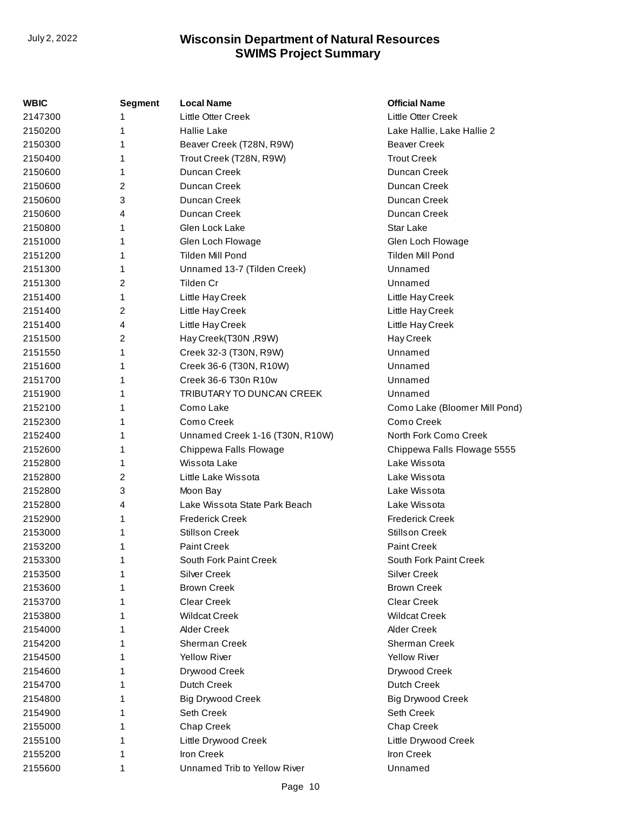| WBIC    | <b>Segment</b> | <b>Local Name</b>               | <b>Official Name</b>          |
|---------|----------------|---------------------------------|-------------------------------|
| 2147300 |                | <b>Little Otter Creek</b>       | Little Otter Creek            |
| 2150200 | 1              | <b>Hallie Lake</b>              | Lake Hallie, Lake Hallie 2    |
| 2150300 | 1              | Beaver Creek (T28N, R9W)        | <b>Beaver Creek</b>           |
| 2150400 | 1              | Trout Creek (T28N, R9W)         | <b>Trout Creek</b>            |
| 2150600 | 1              | Duncan Creek                    | Duncan Creek                  |
| 2150600 | 2              | Duncan Creek                    | Duncan Creek                  |
| 2150600 | 3              | Duncan Creek                    | Duncan Creek                  |
| 2150600 | 4              | Duncan Creek                    | Duncan Creek                  |
| 2150800 | 1              | Glen Lock Lake                  | Star Lake                     |
| 2151000 | 1              | Glen Loch Flowage               | Glen Loch Flowage             |
| 2151200 | 1              | <b>Tilden Mill Pond</b>         | Tilden Mill Pond              |
| 2151300 | 1              | Unnamed 13-7 (Tilden Creek)     | Unnamed                       |
| 2151300 | 2              | Tilden Cr                       | Unnamed                       |
| 2151400 | 1              | Little Hay Creek                | Little Hay Creek              |
| 2151400 | 2              | Little Hay Creek                | Little Hay Creek              |
| 2151400 | 4              | Little Hay Creek                | Little Hay Creek              |
| 2151500 | $\overline{c}$ | Hay Creek(T30N, R9W)            | Hay Creek                     |
| 2151550 | 1              | Creek 32-3 (T30N, R9W)          | Unnamed                       |
| 2151600 | 1              | Creek 36-6 (T30N, R10W)         | Unnamed                       |
| 2151700 | 1              | Creek 36-6 T30n R10w            | Unnamed                       |
| 2151900 |                | TRIBUTARY TO DUNCAN CREEK       | Unnamed                       |
| 2152100 |                | Como Lake                       | Como Lake (Bloomer Mill Pond) |
| 2152300 | 1              | Como Creek                      | Como Creek                    |
| 2152400 | 1              | Unnamed Creek 1-16 (T30N, R10W) | North Fork Como Creek         |
| 2152600 | 1              | Chippewa Falls Flowage          | Chippewa Falls Flowage 5555   |
| 2152800 |                | Wissota Lake                    | Lake Wissota                  |
| 2152800 | 2              | Little Lake Wissota             | Lake Wissota                  |
| 2152800 | 3              | Moon Bay                        | Lake Wissota                  |
| 2152800 | 4              | Lake Wissota State Park Beach   | Lake Wissota                  |
| 2152900 | 1              | <b>Frederick Creek</b>          | <b>Frederick Creek</b>        |
| 2153000 | 1              | <b>Stillson Creek</b>           | <b>Stillson Creek</b>         |
| 2153200 | 1              | <b>Paint Creek</b>              | Paint Creek                   |
| 2153300 | 1              | South Fork Paint Creek          | South Fork Paint Creek        |
| 2153500 |                | <b>Silver Creek</b>             | <b>Silver Creek</b>           |
| 2153600 |                | <b>Brown Creek</b>              | <b>Brown Creek</b>            |
| 2153700 |                | <b>Clear Creek</b>              | <b>Clear Creek</b>            |
| 2153800 |                | <b>Wildcat Creek</b>            | <b>Wildcat Creek</b>          |
| 2154000 |                | <b>Alder Creek</b>              | <b>Alder Creek</b>            |
| 2154200 |                | Sherman Creek                   | Sherman Creek                 |
| 2154500 |                | <b>Yellow River</b>             | <b>Yellow River</b>           |
| 2154600 |                | Drywood Creek                   | Drywood Creek                 |
| 2154700 |                | <b>Dutch Creek</b>              | <b>Dutch Creek</b>            |
| 2154800 |                | <b>Big Drywood Creek</b>        | <b>Big Drywood Creek</b>      |
| 2154900 |                | Seth Creek                      | Seth Creek                    |
| 2155000 |                | Chap Creek                      | Chap Creek                    |
| 2155100 |                | Little Drywood Creek            | Little Drywood Creek          |
| 2155200 |                | Iron Creek                      | Iron Creek                    |
| 2155600 | 1              | Unnamed Trib to Yellow River    | Unnamed                       |
|         |                |                                 |                               |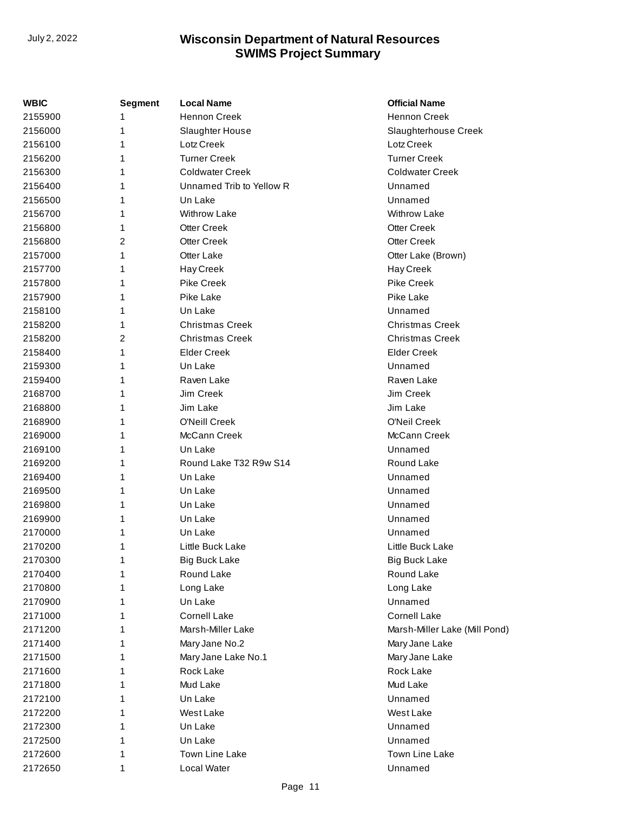| <b>WBIC</b> | <b>Segment</b> | <b>Local Name</b>        | <b>Official Name</b>          |
|-------------|----------------|--------------------------|-------------------------------|
| 2155900     |                | <b>Hennon Creek</b>      | <b>Hennon Creek</b>           |
| 2156000     | 1              | Slaughter House          | Slaughterhouse Creek          |
| 2156100     | 1              | Lotz Creek               | Lotz Creek                    |
| 2156200     | 1              | <b>Turner Creek</b>      | <b>Turner Creek</b>           |
| 2156300     | 1              | <b>Coldwater Creek</b>   | <b>Coldwater Creek</b>        |
| 2156400     | 1              | Unnamed Trib to Yellow R | Unnamed                       |
| 2156500     |                | Un Lake                  | Unnamed                       |
| 2156700     | 1              | <b>Withrow Lake</b>      | <b>Withrow Lake</b>           |
| 2156800     | 1              | <b>Otter Creek</b>       | <b>Otter Creek</b>            |
| 2156800     | 2              | <b>Otter Creek</b>       | <b>Otter Creek</b>            |
| 2157000     |                | Otter Lake               | Otter Lake (Brown)            |
| 2157700     | 1              | Hay Creek                | Hay Creek                     |
| 2157800     | 1              | <b>Pike Creek</b>        | Pike Creek                    |
| 2157900     | 1              | Pike Lake                | Pike Lake                     |
| 2158100     |                | Un Lake                  | Unnamed                       |
| 2158200     | 1              | <b>Christmas Creek</b>   | <b>Christmas Creek</b>        |
| 2158200     | 2              | <b>Christmas Creek</b>   | <b>Christmas Creek</b>        |
| 2158400     | 1              | <b>Elder Creek</b>       | <b>Elder Creek</b>            |
| 2159300     |                | Un Lake                  | Unnamed                       |
| 2159400     | 1              | Raven Lake               | Raven Lake                    |
| 2168700     | 1              | Jim Creek                | Jim Creek                     |
| 2168800     | 1              | Jim Lake                 | Jim Lake                      |
| 2168900     |                | O'Neill Creek            | O'Neil Creek                  |
| 2169000     | 1              | McCann Creek             | McCann Creek                  |
| 2169100     | 1              | Un Lake                  | Unnamed                       |
| 2169200     | 1              | Round Lake T32 R9w S14   | Round Lake                    |
| 2169400     | 1              | Un Lake                  | Unnamed                       |
| 2169500     | 1              | Un Lake                  | Unnamed                       |
| 2169800     | 1              | Un Lake                  | Unnamed                       |
| 2169900     | 1              | Un Lake                  | Unnamed                       |
| 2170000     |                | Un Lake                  | Unnamed                       |
| 2170200     | 1              | Little Buck Lake         | Little Buck Lake              |
| 2170300     | 1              | <b>Big Buck Lake</b>     | <b>Big Buck Lake</b>          |
| 2170400     | 1              | Round Lake               | Round Lake                    |
| 2170800     |                | Long Lake                | Long Lake                     |
| 2170900     | 1              | Un Lake                  | Unnamed                       |
| 2171000     | 1              | <b>Cornell Lake</b>      | Cornell Lake                  |
| 2171200     | 1              | Marsh-Miller Lake        | Marsh-Miller Lake (Mill Pond) |
| 2171400     | 1              | Mary Jane No.2           | Mary Jane Lake                |
| 2171500     | 1              | Mary Jane Lake No.1      | Mary Jane Lake                |
| 2171600     | 1              | Rock Lake                | Rock Lake                     |
| 2171800     | 1              | Mud Lake                 | Mud Lake                      |
| 2172100     |                | Un Lake                  | Unnamed                       |
| 2172200     | 1              | West Lake                | West Lake                     |
| 2172300     | 1              | Un Lake                  | Unnamed                       |
| 2172500     | 1              | Un Lake                  | Unnamed                       |
| 2172600     | 1              | <b>Town Line Lake</b>    | Town Line Lake                |
| 2172650     | 1              | Local Water              | Unnamed                       |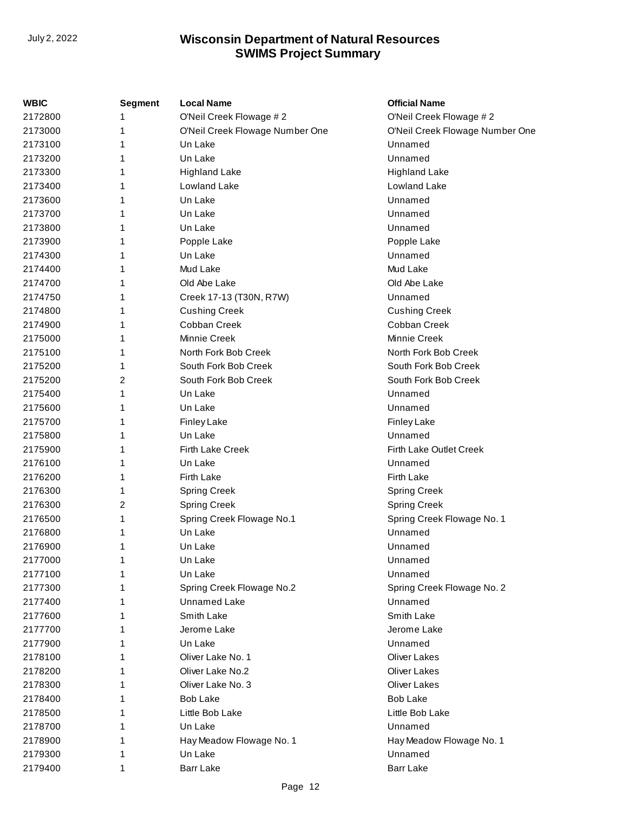| WBIC    | <b>Segment</b> | <b>Local Name</b>               | <b>Official Name</b>            |
|---------|----------------|---------------------------------|---------------------------------|
| 2172800 | 1              | O'Neil Creek Flowage #2         | O'Neil Creek Flowage #2         |
| 2173000 | 1              | O'Neil Creek Flowage Number One | O'Neil Creek Flowage Number One |
| 2173100 | 1              | Un Lake                         | Unnamed                         |
| 2173200 | 1              | Un Lake                         | Unnamed                         |
| 2173300 | 1              | <b>Highland Lake</b>            | <b>Highland Lake</b>            |
| 2173400 | 1              | Lowland Lake                    | Lowland Lake                    |
| 2173600 |                | Un Lake                         | Unnamed                         |
| 2173700 | 1              | Un Lake                         | Unnamed                         |
| 2173800 | 1              | Un Lake                         | Unnamed                         |
| 2173900 | 1              | Popple Lake                     | Popple Lake                     |
| 2174300 | 1              | Un Lake                         | Unnamed                         |
| 2174400 | 1              | Mud Lake                        | Mud Lake                        |
| 2174700 | 1              | Old Abe Lake                    | Old Abe Lake                    |
| 2174750 | 1              | Creek 17-13 (T30N, R7W)         | Unnamed                         |
| 2174800 | 1              | <b>Cushing Creek</b>            | <b>Cushing Creek</b>            |
| 2174900 | 1              | Cobban Creek                    | Cobban Creek                    |
| 2175000 | 1              | Minnie Creek                    | Minnie Creek                    |
| 2175100 | 1              | North Fork Bob Creek            | North Fork Bob Creek            |
| 2175200 | 1              | South Fork Bob Creek            | South Fork Bob Creek            |
| 2175200 | 2              | South Fork Bob Creek            | South Fork Bob Creek            |
| 2175400 | 1              | Un Lake                         | Unnamed                         |
| 2175600 | 1              | Un Lake                         | Unnamed                         |
| 2175700 | 1              | Finley Lake                     | <b>Finley Lake</b>              |
| 2175800 | 1              | Un Lake                         | Unnamed                         |
| 2175900 | 1              | <b>Firth Lake Creek</b>         | Firth Lake Outlet Creek         |
| 2176100 | 1              | Un Lake                         | Unnamed                         |
| 2176200 | 1              | <b>Firth Lake</b>               | <b>Firth Lake</b>               |
| 2176300 | 1              | Spring Creek                    | Spring Creek                    |
| 2176300 | 2              | <b>Spring Creek</b>             | <b>Spring Creek</b>             |
| 2176500 | 1              | Spring Creek Flowage No.1       | Spring Creek Flowage No. 1      |
| 2176800 | 1              | Un Lake                         | Unnamed                         |
| 2176900 | 1              | Un Lake                         | Unnamed                         |
| 2177000 |                | Un Lake                         | Unnamed                         |
| 2177100 | 1              | Un Lake                         | Unnamed                         |
| 2177300 |                | Spring Creek Flowage No.2       | Spring Creek Flowage No. 2      |
| 2177400 | 1              | Unnamed Lake                    | Unnamed                         |
| 2177600 |                | Smith Lake                      | Smith Lake                      |
| 2177700 |                | Jerome Lake                     | Jerome Lake                     |
| 2177900 |                | Un Lake                         | Unnamed                         |
| 2178100 | 1              | Oliver Lake No. 1               | <b>Oliver Lakes</b>             |
| 2178200 | 1              | Oliver Lake No.2                | <b>Oliver Lakes</b>             |
| 2178300 | 1              | Oliver Lake No. 3               | <b>Oliver Lakes</b>             |
| 2178400 | 1              | Bob Lake                        | <b>Bob Lake</b>                 |
| 2178500 | 1              | Little Bob Lake                 | Little Bob Lake                 |
| 2178700 | 1              | Un Lake                         | Unnamed                         |
| 2178900 | 1              | Hay Meadow Flowage No. 1        | Hay Meadow Flowage No. 1        |
| 2179300 | 1              | Un Lake                         | Unnamed                         |
| 2179400 | 1              | <b>Barr Lake</b>                | <b>Barr Lake</b>                |
|         |                |                                 |                                 |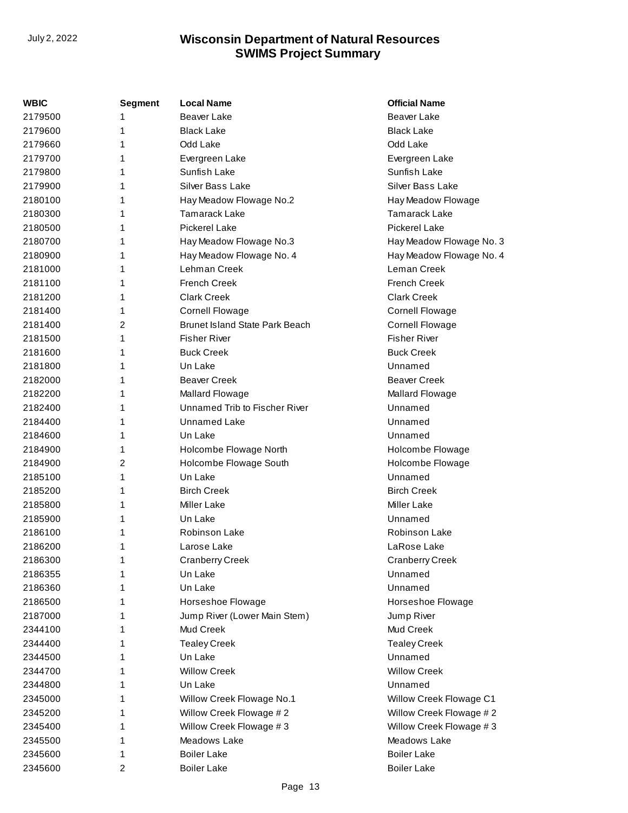| <b>WBIC</b> | <b>Segment</b> | <b>Local Name</b>                     | <b>Official Name</b>     |
|-------------|----------------|---------------------------------------|--------------------------|
| 2179500     |                | Beaver Lake                           | <b>Beaver Lake</b>       |
| 2179600     | 1              | <b>Black Lake</b>                     | <b>Black Lake</b>        |
| 2179660     | 1              | Odd Lake                              | Odd Lake                 |
| 2179700     | 1              | Evergreen Lake                        | Evergreen Lake           |
| 2179800     | 1              | Sunfish Lake                          | Sunfish Lake             |
| 2179900     | 1              | <b>Silver Bass Lake</b>               | <b>Silver Bass Lake</b>  |
| 2180100     | 1              | Hay Meadow Flowage No.2               | Hay Meadow Flowage       |
| 2180300     | 1              | <b>Tamarack Lake</b>                  | <b>Tamarack Lake</b>     |
| 2180500     | 1              | <b>Pickerel Lake</b>                  | <b>Pickerel Lake</b>     |
| 2180700     | 1              | Hay Meadow Flowage No.3               | Hay Meadow Flowage No. 3 |
| 2180900     | 1              | Hay Meadow Flowage No. 4              | Hay Meadow Flowage No. 4 |
| 2181000     | 1              | Lehman Creek                          | Leman Creek              |
| 2181100     | 1              | <b>French Creek</b>                   | French Creek             |
| 2181200     | 1              | <b>Clark Creek</b>                    | <b>Clark Creek</b>       |
| 2181400     | 1              | <b>Cornell Flowage</b>                | <b>Cornell Flowage</b>   |
| 2181400     | 2              | <b>Brunet Island State Park Beach</b> | <b>Cornell Flowage</b>   |
| 2181500     | 1              | <b>Fisher River</b>                   | <b>Fisher River</b>      |
| 2181600     | 1              | <b>Buck Creek</b>                     | <b>Buck Creek</b>        |
| 2181800     | 1              | Un Lake                               | Unnamed                  |
| 2182000     | 1              | <b>Beaver Creek</b>                   | <b>Beaver Creek</b>      |
| 2182200     | 1              | Mallard Flowage                       | Mallard Flowage          |
| 2182400     | 1              | Unnamed Trib to Fischer River         | Unnamed                  |
| 2184400     | 1              | <b>Unnamed Lake</b>                   | Unnamed                  |
| 2184600     | 1              | Un Lake                               | Unnamed                  |
| 2184900     | 1              | Holcombe Flowage North                | Holcombe Flowage         |
| 2184900     | 2              | Holcombe Flowage South                | Holcombe Flowage         |
| 2185100     | 1              | Un Lake                               | Unnamed                  |
| 2185200     | 1              | <b>Birch Creek</b>                    | <b>Birch Creek</b>       |
| 2185800     | 1              | <b>Miller Lake</b>                    | <b>Miller Lake</b>       |
| 2185900     | 1              | Un Lake                               | Unnamed                  |
| 2186100     | 1              | Robinson Lake                         | Robinson Lake            |
| 2186200     | 1              | Larose Lake                           | LaRose Lake              |
| 2186300     | 1              | <b>Cranberry Creek</b>                | <b>Cranberry Creek</b>   |
| 2186355     | 1              | Un Lake                               | Unnamed                  |
| 2186360     | 1              | Un Lake                               | Unnamed                  |
| 2186500     | 1              | Horseshoe Flowage                     | Horseshoe Flowage        |
| 2187000     | 1              | Jump River (Lower Main Stem)          | Jump River               |
| 2344100     | 1              | Mud Creek                             | Mud Creek                |
| 2344400     | 1              | <b>Tealey Creek</b>                   | <b>Tealey Creek</b>      |
| 2344500     | 1              | Un Lake                               | Unnamed                  |
| 2344700     | 1              | <b>Willow Creek</b>                   | <b>Willow Creek</b>      |
| 2344800     | 1              | Un Lake                               | Unnamed                  |
| 2345000     | 1              | Willow Creek Flowage No.1             | Willow Creek Flowage C1  |
| 2345200     | 1              | Willow Creek Flowage #2               | Willow Creek Flowage #2  |
| 2345400     | 1              | Willow Creek Flowage #3               | Willow Creek Flowage #3  |
| 2345500     | 1              | Meadows Lake                          | Meadows Lake             |
| 2345600     | 1              | <b>Boiler Lake</b>                    | <b>Boiler Lake</b>       |
| 2345600     | 2              | <b>Boiler Lake</b>                    | <b>Boiler Lake</b>       |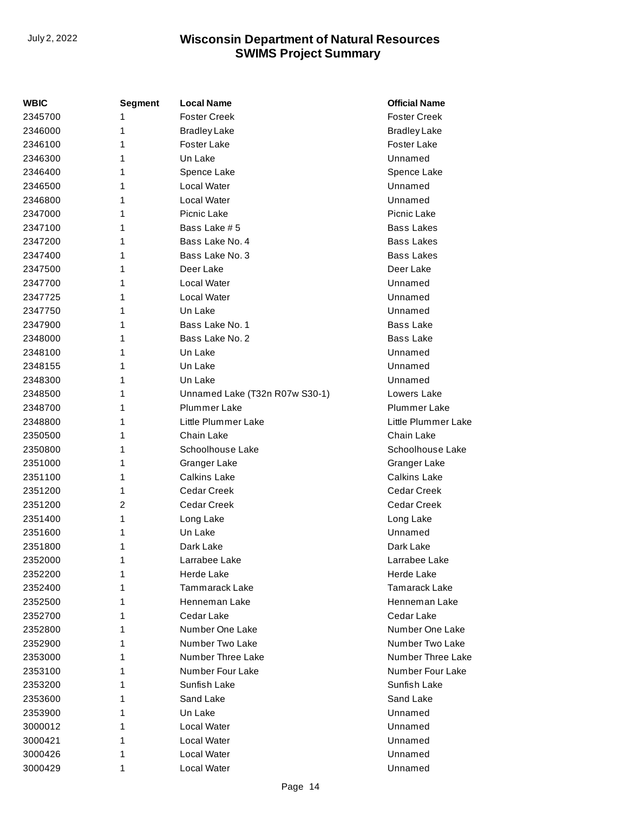| WBIC    | <b>Segment</b> | <b>Local Name</b>              | <b>Official Name</b> |
|---------|----------------|--------------------------------|----------------------|
| 2345700 | 1              | <b>Foster Creek</b>            | <b>Foster Creek</b>  |
| 2346000 | 1              | <b>Bradley Lake</b>            | <b>Bradley Lake</b>  |
| 2346100 | 1              | <b>Foster Lake</b>             | <b>Foster Lake</b>   |
| 2346300 | 1              | Un Lake                        | Unnamed              |
| 2346400 | 1              | Spence Lake                    | Spence Lake          |
| 2346500 | 1              | Local Water                    | Unnamed              |
| 2346800 | 1              | Local Water                    | Unnamed              |
| 2347000 | 1              | Picnic Lake                    | Picnic Lake          |
| 2347100 | 1              | Bass Lake #5                   | <b>Bass Lakes</b>    |
| 2347200 | 1              | Bass Lake No. 4                | <b>Bass Lakes</b>    |
| 2347400 | 1              | Bass Lake No. 3                | <b>Bass Lakes</b>    |
| 2347500 | 1              | Deer Lake                      | Deer Lake            |
| 2347700 | 1              | Local Water                    | Unnamed              |
| 2347725 | 1              | Local Water                    | Unnamed              |
| 2347750 | 1              | Un Lake                        | Unnamed              |
| 2347900 | 1              | Bass Lake No. 1                | <b>Bass Lake</b>     |
| 2348000 | 1              | Bass Lake No. 2                | <b>Bass Lake</b>     |
| 2348100 | 1              | Un Lake                        | Unnamed              |
| 2348155 | 1              | Un Lake                        | Unnamed              |
| 2348300 | 1              | Un Lake                        | Unnamed              |
| 2348500 | 1              | Unnamed Lake (T32n R07w S30-1) | Lowers Lake          |
| 2348700 | 1              | Plummer Lake                   | <b>Plummer Lake</b>  |
| 2348800 | 1              | Little Plummer Lake            | Little Plummer Lake  |
| 2350500 | 1              | Chain Lake                     | Chain Lake           |
| 2350800 | 1              | Schoolhouse Lake               | Schoolhouse Lake     |
| 2351000 | 1              | Granger Lake                   | Granger Lake         |
| 2351100 | 1              | <b>Calkins Lake</b>            | <b>Calkins Lake</b>  |
| 2351200 | 1              | <b>Cedar Creek</b>             | Cedar Creek          |
| 2351200 | 2              | Cedar Creek                    | Cedar Creek          |
| 2351400 | 1              | Long Lake                      | Long Lake            |
| 2351600 | 1              | Un Lake                        | Unnamed              |
| 2351800 | 1              | Dark Lake                      | Dark Lake            |
| 2352000 | 1              | Larrabee Lake                  | Larrabee Lake        |
| 2352200 | 1              | Herde Lake                     | Herde Lake           |
| 2352400 | 1              | Tammarack Lake                 | Tamarack Lake        |
| 2352500 | 1              | Henneman Lake                  | Henneman Lake        |
| 2352700 | 1              | Cedar Lake                     | Cedar Lake           |
| 2352800 | 1              | Number One Lake                | Number One Lake      |
| 2352900 | 1              | Number Two Lake                | Number Two Lake      |
| 2353000 | 1              | Number Three Lake              | Number Three Lake    |
| 2353100 | 1              | Number Four Lake               | Number Four Lake     |
| 2353200 | 1              | Sunfish Lake                   | Sunfish Lake         |
| 2353600 | 1              | Sand Lake                      | Sand Lake            |
| 2353900 | 1              | Un Lake                        | Unnamed              |
| 3000012 | 1              | Local Water                    | Unnamed              |
| 3000421 | 1              | Local Water                    | Unnamed              |
| 3000426 | 1              | Local Water                    | Unnamed              |
| 3000429 | 1              | Local Water                    | Unnamed              |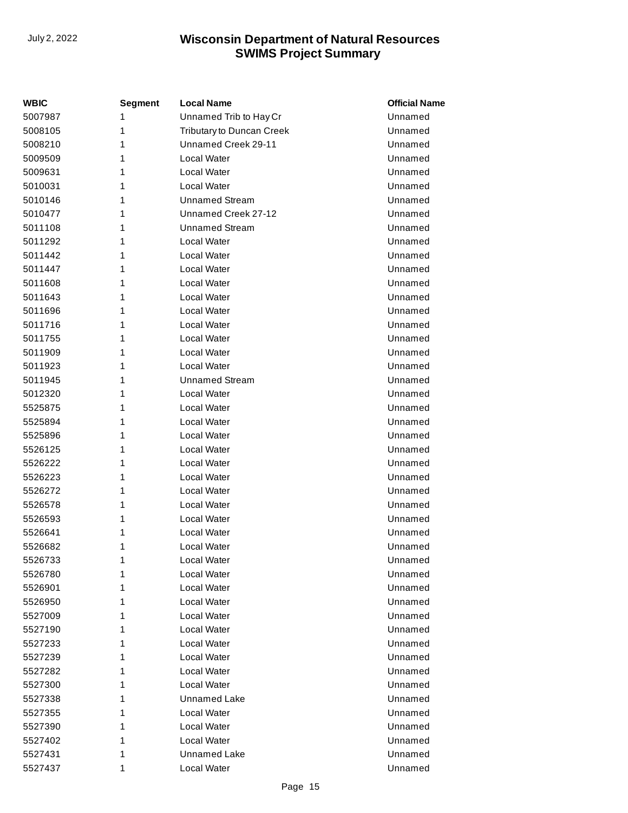| WBIC    | <b>Segment</b> | <b>Local Name</b>         | <b>Official Name</b> |
|---------|----------------|---------------------------|----------------------|
| 5007987 | 1              | Unnamed Trib to Hay Cr    | Unnamed              |
| 5008105 | 1              | Tributary to Duncan Creek | Unnamed              |
| 5008210 | 1              | Unnamed Creek 29-11       | Unnamed              |
| 5009509 | 1              | Local Water               | Unnamed              |
| 5009631 | 1              | Local Water               | Unnamed              |
| 5010031 | 1              | Local Water               | Unnamed              |
| 5010146 | 1              | <b>Unnamed Stream</b>     | Unnamed              |
| 5010477 | 1              | Unnamed Creek 27-12       | Unnamed              |
| 5011108 | 1              | <b>Unnamed Stream</b>     | Unnamed              |
| 5011292 | 1              | Local Water               | Unnamed              |
| 5011442 | 1              | Local Water               | Unnamed              |
| 5011447 | 1              | Local Water               | Unnamed              |
| 5011608 | 1              | Local Water               | Unnamed              |
| 5011643 | 1              | Local Water               | Unnamed              |
| 5011696 | 1              | Local Water               | Unnamed              |
| 5011716 | 1              | Local Water               | Unnamed              |
| 5011755 | 1              | Local Water               | Unnamed              |
| 5011909 | 1              | Local Water               | Unnamed              |
| 5011923 | 1              | Local Water               | Unnamed              |
| 5011945 | 1              | <b>Unnamed Stream</b>     | Unnamed              |
| 5012320 | 1              | Local Water               | Unnamed              |
| 5525875 | 1              | Local Water               | Unnamed              |
| 5525894 | 1              | Local Water               | Unnamed              |
| 5525896 | 1              | Local Water               | Unnamed              |
| 5526125 | 1              | Local Water               | Unnamed              |
| 5526222 | 1              | Local Water               | Unnamed              |
| 5526223 | 1              | Local Water               | Unnamed              |
| 5526272 | 1              | Local Water               | Unnamed              |
| 5526578 | 1              | Local Water               | Unnamed              |
| 5526593 | 1              | Local Water               | Unnamed              |
| 5526641 | 1              | Local Water               | Unnamed              |
| 5526682 | 1              | Local Water               | Unnamed              |
| 5526733 | 1              | Local Water               | Unnamed              |
| 5526780 | 1              | Local Water               | Unnamed              |
| 5526901 | 1              | Local Water               | Unnamed              |
| 5526950 | 1              | Local Water               | Unnamed              |
| 5527009 | 1              | Local Water               | Unnamed              |
| 5527190 | 1              | Local Water               | Unnamed              |
| 5527233 | 1              | Local Water               | Unnamed              |
| 5527239 | 1              | Local Water               | Unnamed              |
| 5527282 | 1              | Local Water               | Unnamed              |
| 5527300 | 1              | Local Water               | Unnamed              |
| 5527338 | 1              | Unnamed Lake              | Unnamed              |
| 5527355 | 1              | Local Water               | Unnamed              |
| 5527390 | 1              | Local Water               | Unnamed              |
| 5527402 | 1              | Local Water               | Unnamed              |
| 5527431 | 1              | Unnamed Lake              | Unnamed              |
| 5527437 | 1              | Local Water               | Unnamed              |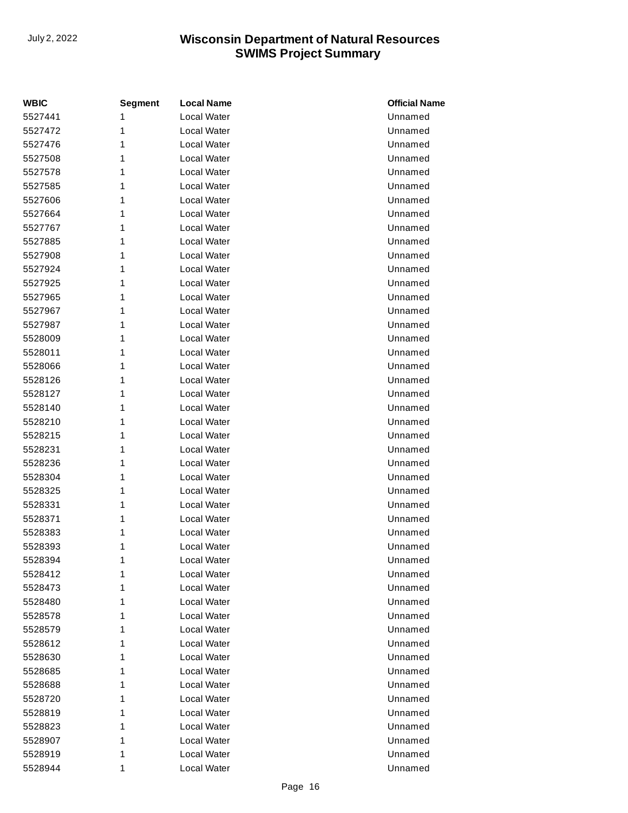| <b>WBIC</b> | <b>Segment</b> | <b>Local Name</b>  | <b>Official Name</b> |
|-------------|----------------|--------------------|----------------------|
| 5527441     | 1              | <b>Local Water</b> | Unnamed              |
| 5527472     | 1              | Local Water        | Unnamed              |
| 5527476     | 1              | Local Water        | Unnamed              |
| 5527508     | 1              | Local Water        | Unnamed              |
| 5527578     | 1              | Local Water        | Unnamed              |
| 5527585     | 1              | Local Water        | Unnamed              |
| 5527606     | 1              | Local Water        | Unnamed              |
| 5527664     | 1              | Local Water        | Unnamed              |
| 5527767     | 1              | Local Water        | Unnamed              |
| 5527885     | 1              | Local Water        | Unnamed              |
| 5527908     | 1              | Local Water        | Unnamed              |
| 5527924     | 1              | Local Water        | Unnamed              |
| 5527925     | 1              | Local Water        | Unnamed              |
| 5527965     | 1              | Local Water        | Unnamed              |
| 5527967     | 1              | Local Water        | Unnamed              |
| 5527987     | 1              | <b>Local Water</b> | Unnamed              |
| 5528009     | 1              | Local Water        | Unnamed              |
| 5528011     | 1              | Local Water        | Unnamed              |
| 5528066     | 1              | Local Water        | Unnamed              |
| 5528126     | 1              | Local Water        | Unnamed              |
| 5528127     | 1              | Local Water        | Unnamed              |
| 5528140     | 1              | Local Water        | Unnamed              |
| 5528210     | 1              | Local Water        | Unnamed              |
| 5528215     | 1              | <b>Local Water</b> | Unnamed              |
| 5528231     | 1              | Local Water        | Unnamed              |
| 5528236     | 1              | Local Water        | Unnamed              |
| 5528304     | 1              | Local Water        | Unnamed              |
| 5528325     | 1              | Local Water        | Unnamed              |
| 5528331     | 1              | Local Water        | Unnamed              |
| 5528371     | 1              | Local Water        | Unnamed              |
| 5528383     | 1              | Local Water        | Unnamed              |
| 5528393     | 1              | Local Water        | Unnamed              |
| 5528394     | 1              | Local Water        | Unnamed              |
| 5528412     | 1              | Local Water        | Unnamed              |
| 5528473     | 1              | Local Water        | Unnamed              |
| 5528480     | 1              | Local Water        | Unnamed              |
| 5528578     | 1              | Local Water        | Unnamed              |
| 5528579     | 1              | Local Water        | Unnamed              |
| 5528612     | 1              | Local Water        | Unnamed              |
| 5528630     | 1              | Local Water        | Unnamed              |
| 5528685     | 1              | Local Water        | Unnamed              |
| 5528688     | 1              | Local Water        | Unnamed              |
| 5528720     | 1              | Local Water        | Unnamed              |
| 5528819     | 1              | Local Water        | Unnamed              |
| 5528823     | 1              | Local Water        | Unnamed              |
| 5528907     | 1              | Local Water        | Unnamed              |
| 5528919     | 1              | Local Water        | Unnamed              |
| 5528944     | 1              | Local Water        | Unnamed              |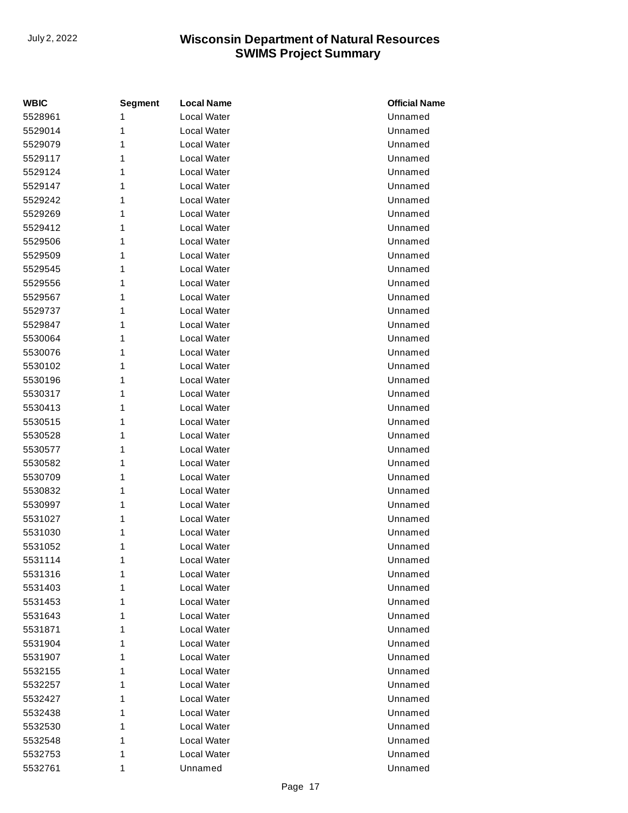| <b>WBIC</b> | <b>Segment</b> | <b>Local Name</b>  | <b>Official Name</b> |
|-------------|----------------|--------------------|----------------------|
| 5528961     | 1              | <b>Local Water</b> | Unnamed              |
| 5529014     | 1              | Local Water        | Unnamed              |
| 5529079     | 1              | Local Water        | Unnamed              |
| 5529117     | 1              | Local Water        | Unnamed              |
| 5529124     | 1              | Local Water        | Unnamed              |
| 5529147     | 1              | <b>Local Water</b> | Unnamed              |
| 5529242     | 1              | Local Water        | Unnamed              |
| 5529269     | 1              | Local Water        | Unnamed              |
| 5529412     | 1              | Local Water        | Unnamed              |
| 5529506     | 1              | Local Water        | Unnamed              |
| 5529509     | 1              | Local Water        | Unnamed              |
| 5529545     | 1              | Local Water        | Unnamed              |
| 5529556     | 1              | Local Water        | Unnamed              |
| 5529567     | 1              | <b>Local Water</b> | Unnamed              |
| 5529737     | 1              | Local Water        | Unnamed              |
| 5529847     | 1              | Local Water        | Unnamed              |
| 5530064     | 1              | Local Water        | Unnamed              |
| 5530076     | 1              | Local Water        | Unnamed              |
| 5530102     | 1              | Local Water        | Unnamed              |
| 5530196     | 1              | Local Water        | Unnamed              |
| 5530317     | 1              | Local Water        | Unnamed              |
| 5530413     | 1              | <b>Local Water</b> | Unnamed              |
| 5530515     | 1              | Local Water        | Unnamed              |
| 5530528     | 1              | Local Water        | Unnamed              |
| 5530577     | 1              | Local Water        | Unnamed              |
| 5530582     | 1              | Local Water        | Unnamed              |
| 5530709     | 1              | Local Water        | Unnamed              |
| 5530832     | 1              | Local Water        | Unnamed              |
| 5530997     | 1              | Local Water        | Unnamed              |
| 5531027     | 1              | Local Water        | Unnamed              |
| 5531030     | 1              | Local Water        | Unnamed              |
| 5531052     | 1              | Local Water        | Unnamed              |
| 5531114     | 1              | Local Water        | Unnamed              |
| 5531316     | 1              | Local Water        | Unnamed              |
| 5531403     | 1              | Local Water        | Unnamed              |
| 5531453     | 1              | Local Water        | Unnamed              |
| 5531643     | 1              | Local Water        | Unnamed              |
| 5531871     | 1              | Local Water        | Unnamed              |
| 5531904     | 1              | Local Water        | Unnamed              |
| 5531907     | 1              | Local Water        | Unnamed              |
| 5532155     | 1              | Local Water        | Unnamed              |
| 5532257     | 1              | Local Water        | Unnamed              |
| 5532427     | 1              | Local Water        | Unnamed              |
| 5532438     | 1              | Local Water        | Unnamed              |
| 5532530     | 1              | Local Water        | Unnamed              |
| 5532548     | 1              | Local Water        | Unnamed              |
| 5532753     | 1              | Local Water        | Unnamed              |
| 5532761     | 1              | Unnamed            | Unnamed              |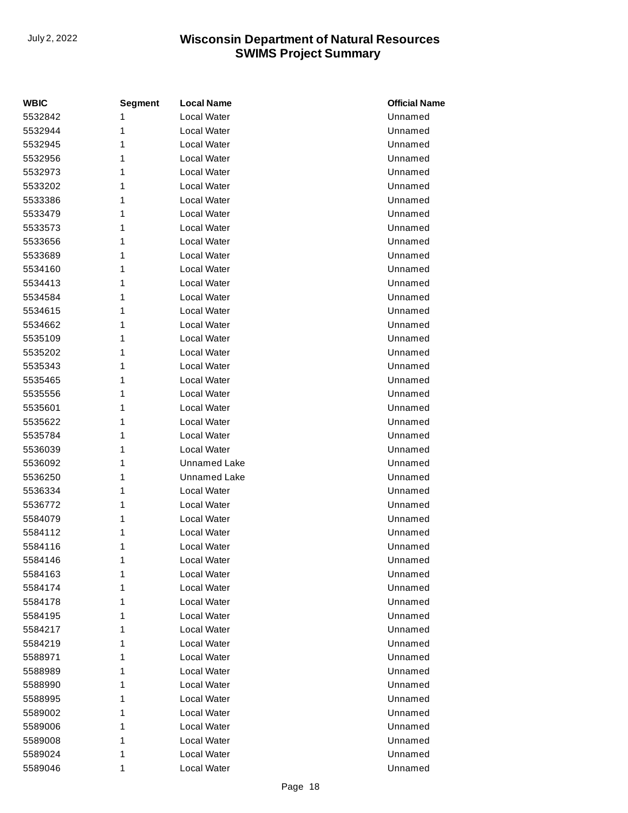| <b>WBIC</b> | <b>Segment</b> | <b>Local Name</b>   | <b>Official Name</b> |
|-------------|----------------|---------------------|----------------------|
| 5532842     | 1              | Local Water         | Unnamed              |
| 5532944     | 1              | Local Water         | Unnamed              |
| 5532945     | 1              | Local Water         | Unnamed              |
| 5532956     | 1              | Local Water         | Unnamed              |
| 5532973     | 1              | Local Water         | Unnamed              |
| 5533202     | 1              | Local Water         | Unnamed              |
| 5533386     | 1              | Local Water         | Unnamed              |
| 5533479     | 1              | Local Water         | Unnamed              |
| 5533573     | 1              | Local Water         | Unnamed              |
| 5533656     | 1              | Local Water         | Unnamed              |
| 5533689     | 1              | Local Water         | Unnamed              |
| 5534160     | 1              | Local Water         | Unnamed              |
| 5534413     | 1              | Local Water         | Unnamed              |
| 5534584     | 1              | Local Water         | Unnamed              |
| 5534615     | 1              | Local Water         | Unnamed              |
| 5534662     | 1              | Local Water         | Unnamed              |
| 5535109     | 1              | Local Water         | Unnamed              |
| 5535202     | 1              | Local Water         | Unnamed              |
| 5535343     | 1              | Local Water         | Unnamed              |
| 5535465     | 1              | Local Water         | Unnamed              |
| 5535556     | 1              | Local Water         | Unnamed              |
| 5535601     | 1              | Local Water         | Unnamed              |
| 5535622     | 1              | Local Water         | Unnamed              |
| 5535784     | 1              | Local Water         | Unnamed              |
| 5536039     | 1              | Local Water         | Unnamed              |
| 5536092     | 1              | <b>Unnamed Lake</b> | Unnamed              |
| 5536250     | 1              | <b>Unnamed Lake</b> | Unnamed              |
| 5536334     | 1              | Local Water         | Unnamed              |
| 5536772     | 1              | Local Water         | Unnamed              |
| 5584079     | 1              | Local Water         | Unnamed              |
| 5584112     | 1              | Local Water         | Unnamed              |
| 5584116     | 1              | Local Water         | Unnamed              |
| 5584146     | 1              | Local Water         | Unnamed              |
| 5584163     | 1              | Local Water         | Unnamed              |
| 5584174     | 1              | Local Water         | Unnamed              |
| 5584178     | 1              | Local Water         | Unnamed              |
| 5584195     | 1              | Local Water         | Unnamed              |
| 5584217     | 1              | Local Water         | Unnamed              |
| 5584219     | 1              | Local Water         | Unnamed              |
| 5588971     | 1              | Local Water         | Unnamed              |
| 5588989     | 1              | Local Water         | Unnamed              |
| 5588990     | 1              | Local Water         | Unnamed              |
| 5588995     | 1              | Local Water         | Unnamed              |
| 5589002     | 1              | Local Water         | Unnamed              |
| 5589006     | 1              | Local Water         | Unnamed              |
| 5589008     | 1              | Local Water         | Unnamed              |
| 5589024     | 1              | Local Water         | Unnamed              |
| 5589046     | 1              | Local Water         | Unnamed              |